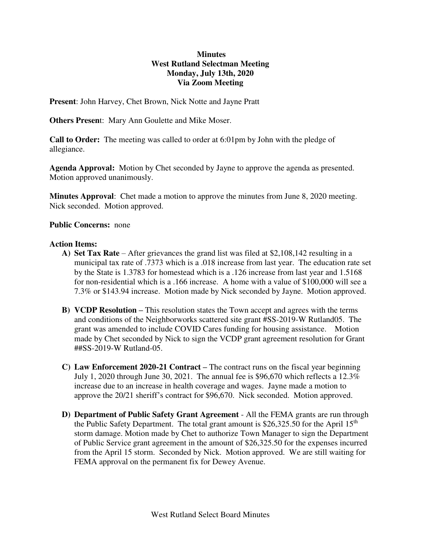## **Minutes West Rutland Selectman Meeting Monday, July 13th, 2020 Via Zoom Meeting**

**Present**: John Harvey, Chet Brown, Nick Notte and Jayne Pratt

**Others Presen**t: Mary Ann Goulette and Mike Moser.

**Call to Order:** The meeting was called to order at 6:01pm by John with the pledge of allegiance.

**Agenda Approval:** Motion by Chet seconded by Jayne to approve the agenda as presented. Motion approved unanimously.

**Minutes Approval**: Chet made a motion to approve the minutes from June 8, 2020 meeting. Nick seconded. Motion approved.

### **Public Concerns:** none

#### **Action Items:**

- **A) Set Tax Rate**  After grievances the grand list was filed at \$2,108,142 resulting in a municipal tax rate of .7373 which is a .018 increase from last year. The education rate set by the State is 1.3783 for homestead which is a .126 increase from last year and 1.5168 for non-residential which is a .166 increase. A home with a value of \$100,000 will see a 7.3% or \$143.94 increase. Motion made by Nick seconded by Jayne. Motion approved.
- **B) VCDP Resolution –** This resolution states the Town accept and agrees with the terms and conditions of the Neighborworks scattered site grant #SS-2019-W Rutland05. The grant was amended to include COVID Cares funding for housing assistance. Motion made by Chet seconded by Nick to sign the VCDP grant agreement resolution for Grant ##SS-2019-W Rutland-05.
- **C) Law Enforcement 2020-21 Contract –** The contract runs on the fiscal year beginning July 1, 2020 through June 30, 2021. The annual fee is \$96,670 which reflects a 12.3% increase due to an increase in health coverage and wages. Jayne made a motion to approve the 20/21 sheriff's contract for \$96,670. Nick seconded. Motion approved.
- **D) Department of Public Safety Grant Agreement**  All the FEMA grants are run through the Public Safety Department. The total grant amount is  $$26,325.50$  for the April 15<sup>th</sup> storm damage. Motion made by Chet to authorize Town Manager to sign the Department of Public Service grant agreement in the amount of \$26,325.50 for the expenses incurred from the April 15 storm. Seconded by Nick. Motion approved. We are still waiting for FEMA approval on the permanent fix for Dewey Avenue.